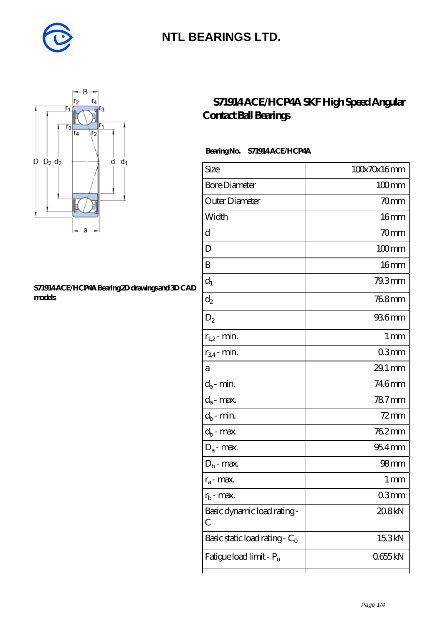



#### **[S71914 ACE/HCP4A Bearing 2D drawings and 3D CAD](https://m.diabetesfriends.net/pic-590850.html) [models](https://m.diabetesfriends.net/pic-590850.html)**

### **[S71914 ACE/HCP4A SKF High Speed Angular](https://m.diabetesfriends.net/skf-bearing/s71914-ace-hcp4a.html) [Contact Ball Bearings](https://m.diabetesfriends.net/skf-bearing/s71914-ace-hcp4a.html)**

#### **Bearing No. S71914 ACE/HCP4A**

| Size                             | 100x70x16mm      |
|----------------------------------|------------------|
| <b>Bore Diameter</b>             | $100$ mm         |
| Outer Diameter                   | 70mm             |
| Width                            | 16 <sub>mm</sub> |
| d                                | 70mm             |
| D                                | $100$ mm         |
| B                                | 16 <sub>mm</sub> |
| $d_1$                            | 79.3mm           |
| $\mathrm{d}_2$                   | 768mm            |
| $\mathrm{D}_2$                   | 936mm            |
| $r_{1,2}$ - min.                 | 1 mm             |
| $r_{34}$ - min.                  | 03mm             |
| а                                | 29.1 mm          |
| $d_a$ - min.                     | 746mm            |
| $d_{\boldsymbol{a}}$ - max.      | 787mm            |
| $d_b$ - min.                     | $72$ mm          |
| $\mathrm{d}_{\mathrm{b}}$ - max. | 762mm            |
| $D_a$ - max.                     | $954$ mm         |
| $D_b$ - max.                     | 98 <sub>mm</sub> |
| $r_a$ - max.                     | 1 mm             |
| $r_{h}$ - max.                   | 03mm             |
| Basic dynamic load rating-<br>С  | 20.8kN           |
| Basic static load rating - $C_0$ | 15.3kN           |
| Fatigue load limit - Pu          | 0655kN           |
|                                  |                  |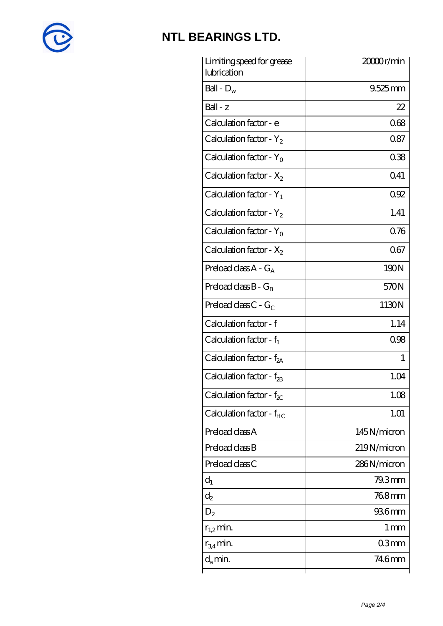

| Limiting speed for grease<br>lubrication | 20000r/min      |
|------------------------------------------|-----------------|
| Ball - $D_w$                             | $9.525$ mm      |
| $Ball - z$                               | 22              |
| Calculation factor - e                   | 068             |
| Calculation factor - $Y_2$               | 087             |
| Calculation factor - $Y_0$               | 038             |
| Calculation factor - $X_2$               | 041             |
| Calculation factor - $Y_1$               | 0.92            |
| Calculation factor - $Y_2$               | 1.41            |
| Calculation factor - $Y_0$               | 076             |
| Calculation factor - $X_2$               | 067             |
| Preload class $A - G_A$                  | 190N            |
| Preload class $B - G_B$                  | 570N            |
| Preload class $C$ - $G_C$                | 1130N           |
| Calculation factor - f                   | 1.14            |
| Calculation factor - $f_1$               | 098             |
| Calculation factor - $f_{2A}$            | 1               |
| Calculation factor - f <sub>2B</sub>     | 1.04            |
| Calculation factor - $f_{\chi}$          | 1.08            |
| Calculation factor - $f_{HC}$            | 1.01            |
| Preload class A                          | 145N/micron     |
| Preload class B                          | 219N/micron     |
| Preload class C                          | 286N/micron     |
| $d_1$                                    | 79.3mm          |
| $\mathrm{d}_2$                           | 768mm           |
| $D_2$                                    | 936mm           |
| $r_{1,2}$ min.                           | 1 <sub>mm</sub> |
| $r_{34}$ min.                            | 03mm            |
| $d_{a}$ min.                             | 746mm           |
|                                          |                 |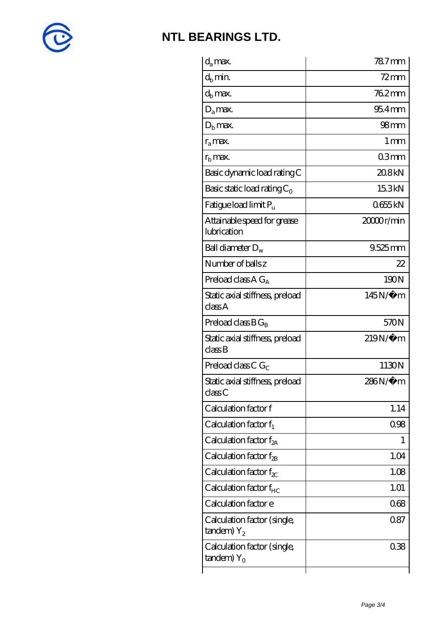

| $d_a$ max.                                               | $787$ mm            |
|----------------------------------------------------------|---------------------|
| $d_h$ min.                                               | $72 \text{mm}$      |
| $d_b$ max.                                               | 762mm               |
| $D_a$ max.                                               | $954$ <sub>mm</sub> |
| $Db$ max.                                                | 98 <sub>mm</sub>    |
| $r_{\rm a}$ max.                                         | $1 \,\mathrm{mm}$   |
| $rb$ max.                                                | 03mm                |
| Basic dynamic load rating C                              | 20.8kN              |
| Basic static load rating $C_0$                           | 15.3kN              |
| Fatigue load limit $P_u$                                 | 0655kN              |
| Attainable speed for grease<br>lubrication               | 20000r/min          |
| Ball diameter $D_w$                                      | $9.525$ mm          |
| Number of balls z                                        | 22                  |
| Preload class $AG_A$                                     | 190N                |
| Static axial stiffness, preload<br>classA                | 145N/μ m            |
| Preload class $BG_B$                                     | 570N                |
| Static axial stiffness, preload<br>classB                | $219N/\mu$ m        |
| Preload class C $G_C$                                    | 1130N               |
| Static axial stiffness, preload<br>classC                | 286N/µ m            |
| Calculation factor f                                     | 1.14                |
| Calculation factor $f_1$                                 | 0.98                |
| C alculation factor $f_{2A}$                             | 1                   |
| Calculation factor $f_{\mathcal{R}}$                     | 1.04                |
| Calculation factor $f_{\chi}$                            | 1.08                |
| Calculation factor $f_{HC}$                              | 1.01                |
| Calculation factor e                                     | 068                 |
| Calculation factor (single,<br>$t$ andem) $Y_2$          | 087                 |
| Calculation factor (single,<br>$t$ andem) Y <sub>o</sub> | 038                 |
|                                                          |                     |